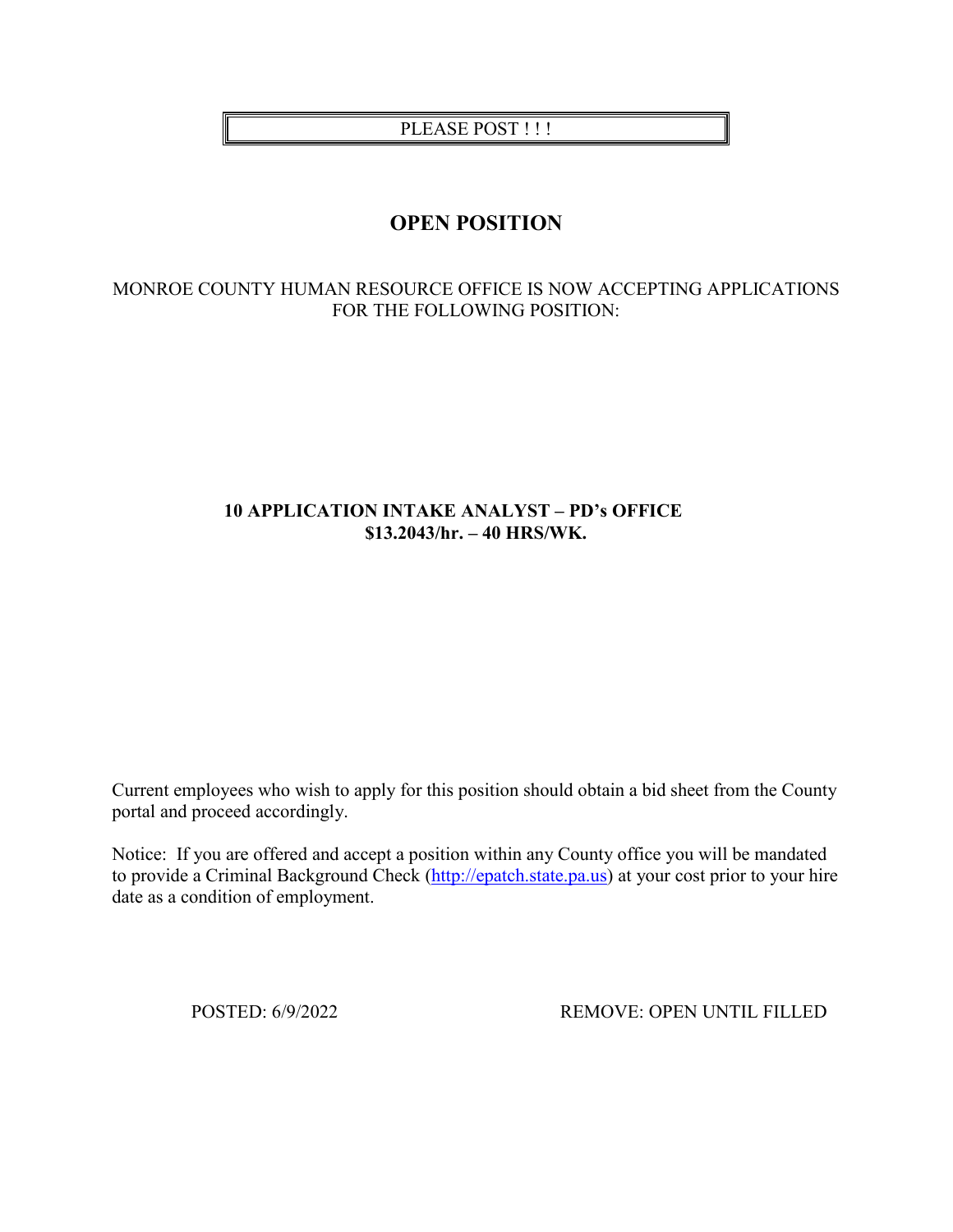PLEASE POST !!!

# **OPEN POSITION**

#### MONROE COUNTY HUMAN RESOURCE OFFICE IS NOW ACCEPTING APPLICATIONS FOR THE FOLLOWING POSITION:

## **10 APPLICATION INTAKE ANALYST – PD's OFFICE \$13.2043/hr. – 40 HRS/WK.**

Current employees who wish to apply for this position should obtain a bid sheet from the County portal and proceed accordingly.

Notice: If you are offered and accept a position within any County office you will be mandated to provide a Criminal Background Check [\(http://epatch.state.pa.us\)](http://epatch.state.pa.us/) at your cost prior to your hire date as a condition of employment.

POSTED: 6/9/2022 REMOVE: OPEN UNTIL FILLED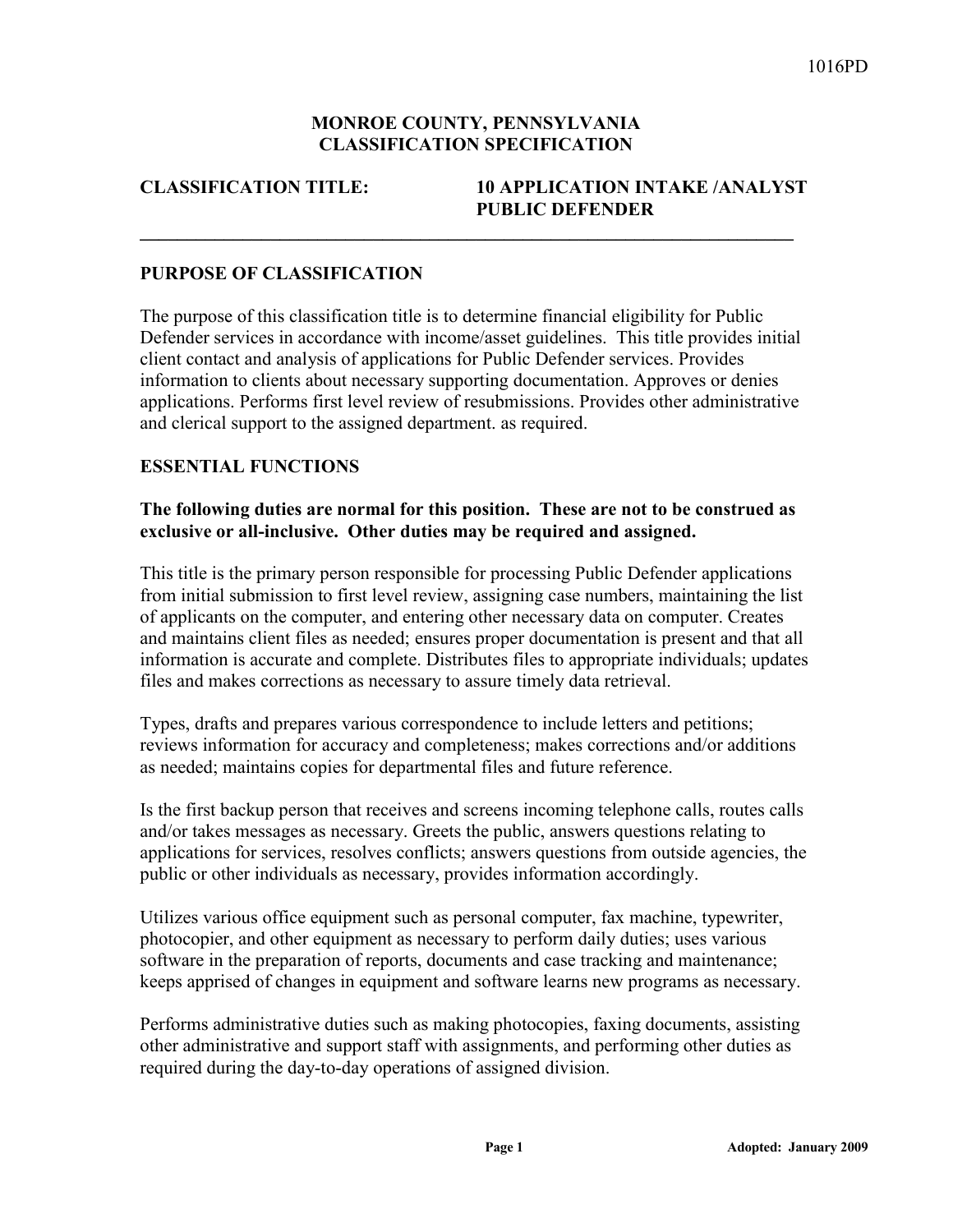#### **MONROE COUNTY, PENNSYLVANIA CLASSIFICATION SPECIFICATION**

**\_\_\_\_\_\_\_\_\_\_\_\_\_\_\_\_\_\_\_\_\_\_\_\_\_\_\_\_\_\_\_\_\_\_\_\_\_\_\_\_\_\_\_\_\_\_\_\_\_\_\_\_\_\_\_\_\_\_\_\_\_\_\_\_\_\_\_\_\_\_** 

#### **CLASSIFICATION TITLE: 10 APPLICATION INTAKE /ANALYST PUBLIC DEFENDER**

#### **PURPOSE OF CLASSIFICATION**

The purpose of this classification title is to determine financial eligibility for Public Defender services in accordance with income/asset guidelines. This title provides initial client contact and analysis of applications for Public Defender services. Provides information to clients about necessary supporting documentation. Approves or denies applications. Performs first level review of resubmissions. Provides other administrative and clerical support to the assigned department. as required.

#### **ESSENTIAL FUNCTIONS**

#### **The following duties are normal for this position. These are not to be construed as exclusive or all-inclusive. Other duties may be required and assigned.**

This title is the primary person responsible for processing Public Defender applications from initial submission to first level review, assigning case numbers, maintaining the list of applicants on the computer, and entering other necessary data on computer. Creates and maintains client files as needed; ensures proper documentation is present and that all information is accurate and complete. Distributes files to appropriate individuals; updates files and makes corrections as necessary to assure timely data retrieval.

Types, drafts and prepares various correspondence to include letters and petitions; reviews information for accuracy and completeness; makes corrections and/or additions as needed; maintains copies for departmental files and future reference.

Is the first backup person that receives and screens incoming telephone calls, routes calls and/or takes messages as necessary. Greets the public, answers questions relating to applications for services, resolves conflicts; answers questions from outside agencies, the public or other individuals as necessary, provides information accordingly.

Utilizes various office equipment such as personal computer, fax machine, typewriter, photocopier, and other equipment as necessary to perform daily duties; uses various software in the preparation of reports, documents and case tracking and maintenance; keeps apprised of changes in equipment and software learns new programs as necessary.

Performs administrative duties such as making photocopies, faxing documents, assisting other administrative and support staff with assignments, and performing other duties as required during the day-to-day operations of assigned division.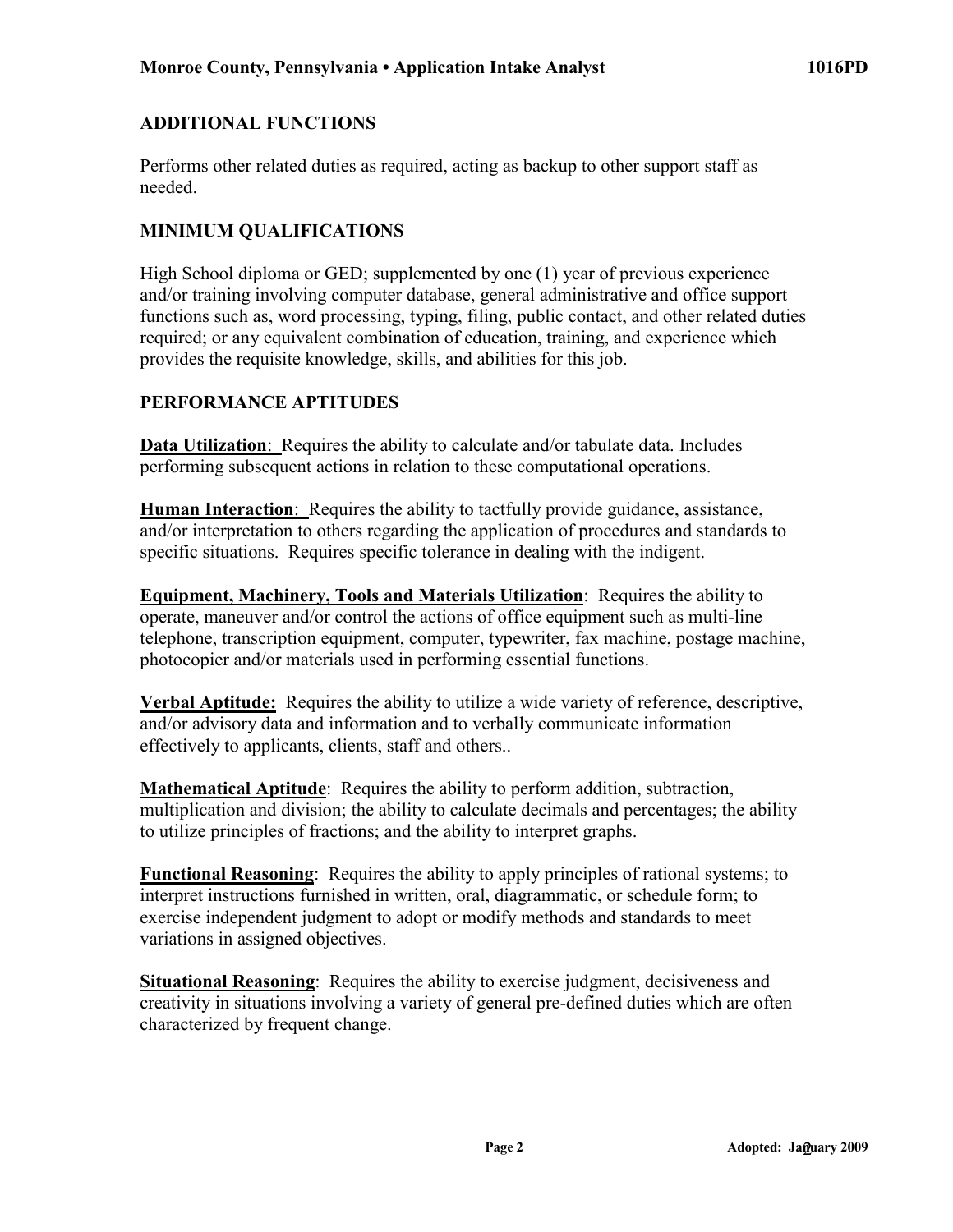# **ADDITIONAL FUNCTIONS**

Performs other related duties as required, acting as backup to other support staff as needed.

# **MINIMUM QUALIFICATIONS**

High School diploma or GED; supplemented by one (1) year of previous experience and/or training involving computer database, general administrative and office support functions such as, word processing, typing, filing, public contact, and other related duties required; or any equivalent combination of education, training, and experience which provides the requisite knowledge, skills, and abilities for this job.

# **PERFORMANCE APTITUDES**

**Data Utilization**: Requires the ability to calculate and/or tabulate data. Includes performing subsequent actions in relation to these computational operations.

**Human Interaction**: Requires the ability to tactfully provide guidance, assistance, and/or interpretation to others regarding the application of procedures and standards to specific situations. Requires specific tolerance in dealing with the indigent.

**Equipment, Machinery, Tools and Materials Utilization**: Requires the ability to operate, maneuver and/or control the actions of office equipment such as multi-line telephone, transcription equipment, computer, typewriter, fax machine, postage machine, photocopier and/or materials used in performing essential functions.

**Verbal Aptitude:** Requires the ability to utilize a wide variety of reference, descriptive, and/or advisory data and information and to verbally communicate information effectively to applicants, clients, staff and others..

**Mathematical Aptitude**: Requires the ability to perform addition, subtraction, multiplication and division; the ability to calculate decimals and percentages; the ability to utilize principles of fractions; and the ability to interpret graphs.

**Functional Reasoning**: Requires the ability to apply principles of rational systems; to interpret instructions furnished in written, oral, diagrammatic, or schedule form; to exercise independent judgment to adopt or modify methods and standards to meet variations in assigned objectives.

**Situational Reasoning**: Requires the ability to exercise judgment, decisiveness and creativity in situations involving a variety of general pre-defined duties which are often characterized by frequent change.